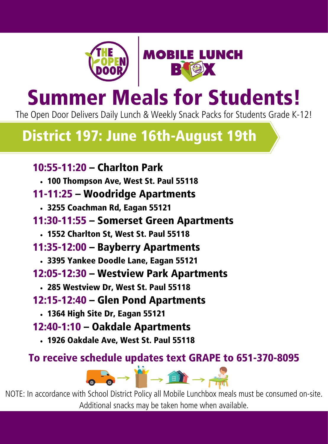



# Summer Meals for Students!

The Open Door Delivers Daily Lunch & Weekly Snack Packs for Students Grade K-12!

## District 197: June 16th-August 19th

### 10:55-11:20 – Charlton Park

100 Thompson Ave, West St. Paul 55118

### 11-11:25 – Woodridge Apartments

- 3255 Coachman Rd, Eagan 55121
- 11:30-11:55 Somerset Green Apartments
	- 1552 Charlton St, West St. Paul 55118
- 11:35-12:00 Bayberry Apartments
	- 3395 Yankee Doodle Lane, Eagan 55121
- 12:05-12:30 Westview Park Apartments
	- 285 Westview Dr, West St. Paul 55118
- 12:15-12:40 Glen Pond Apartments
	- 1364 High Site Dr, Eagan 55121
- 12:40-1:10 Oakdale Apartments
	- 1926 Oakdale Ave, West St. Paul 55118

### To receive schedule updates text GRAPE to 651-370-8095

 $\bullet$   $\rightarrow$   $\bullet$   $\rightarrow$   $\bullet$   $\rightarrow$ 

NOTE: In accordance with School District Policy all Mobile Lunchbox meals must be consumed on-site. Additional snacks may be taken home when available.